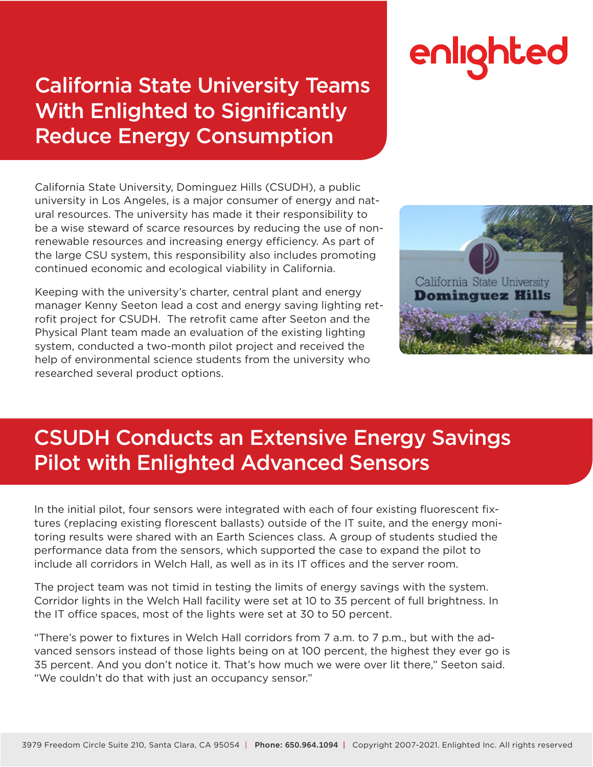### California State University Teams With Enlighted to Significantly Reduce Energy Consumption

# enlighted

California State University, Dominguez Hills (CSUDH), a public university in Los Angeles, is a major consumer of energy and natural resources. The university has made it their responsibility to be a wise steward of scarce resources by reducing the use of nonrenewable resources and increasing energy efficiency. As part of the large CSU system, this responsibility also includes promoting continued economic and ecological viability in California.

Keeping with the university's charter, central plant and energy manager Kenny Seeton lead a cost and energy saving lighting retrofit project for CSUDH. The retrofit came after Seeton and the Physical Plant team made an evaluation of the existing lighting system, conducted a two-month pilot project and received the help of environmental science students from the university who researched several product options.



## CSUDH Conducts an Extensive Energy Savings Pilot with Enlighted Advanced Sensors

In the initial pilot, four sensors were integrated with each of four existing fluorescent fixtures (replacing existing florescent ballasts) outside of the IT suite, and the energy monitoring results were shared with an Earth Sciences class. A group of students studied the performance data from the sensors, which supported the case to expand the pilot to include all corridors in Welch Hall, as well as in its IT offices and the server room.

The project team was not timid in testing the limits of energy savings with the system. Corridor lights in the Welch Hall facility were set at 10 to 35 percent of full brightness. In the IT office spaces, most of the lights were set at 30 to 50 percent.

"There's power to fixtures in Welch Hall corridors from 7 a.m. to 7 p.m., but with the advanced sensors instead of those lights being on at 100 percent, the highest they ever go is 35 percent. And you don't notice it. That's how much we were over lit there," Seeton said. "We couldn't do that with just an occupancy sensor."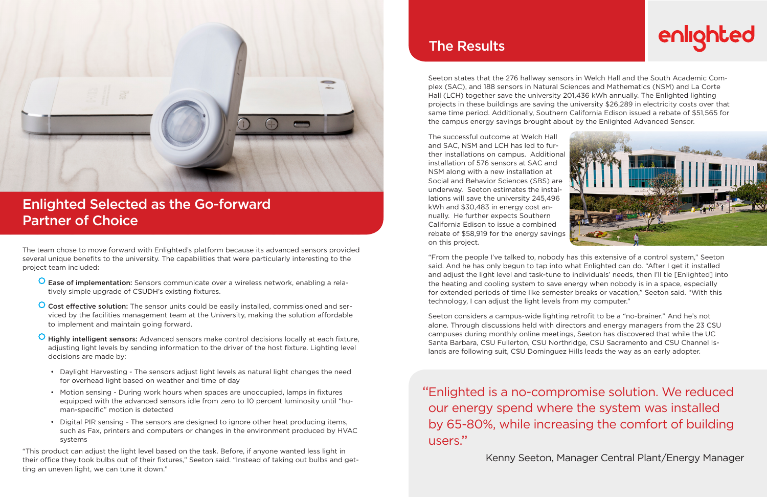Seeton states that the 276 hallway sensors in Welch Hall and the South Academic Complex (SAC), and 188 sensors in Natural Sciences and Mathematics (NSM) and La Corte Hall (LCH) together save the university 201,436 kWh annually. The Enlighted lighting projects in these buildings are saving the university \$26,289 in electricity costs over that same time period. Additionally, Southern California Edison issued a rebate of \$51,565 for the campus energy savings brought about by the Enlighted Advanced Sensor.

The successful outcome at Welch Hall and SAC, NSM and LCH has led to further installations on campus. Additional installation of 576 sensors at SAC and NSM along with a new installation at Social and Behavior Sciences (SBS) are underway. Seeton estimates the installations will save the university 245,496 kWh and \$30,483 in energy cost annually. He further expects Southern California Edison to issue a combined rebate of \$58,919 for the energy savings on this project.

"From the people I've talked to, nobody has this extensive of a control system," Seeton said. And he has only begun to tap into what Enlighted can do. "After I get it installed and adjust the light level and task-tune to individuals' needs, then I'll tie [Enlighted] into the heating and cooling system to save energy when nobody is in a space, especially for extended periods of time like semester breaks or vacation," Seeton said. "With this technology, I can adjust the light levels from my computer."

Seeton considers a campus-wide lighting retrofit to be a "no-brainer." And he's not alone. Through discussions held with directors and energy managers from the 23 CSU campuses during monthly online meetings, Seeton has discovered that while the UC Santa Barbara, CSU Fullerton, CSU Northridge, CSU Sacramento and CSU Channel Islands are following suit, CSU Dominguez Hills leads the way as an early adopter.



### Enlighted Selected as the Go-forward Partner of Choice

#### The Results

The team chose to move forward with Enlighted's platform because its advanced sensors provided several unique benefits to the university. The capabilities that were particularly interesting to the project team included:

- Ease of implementation: Sensors communicate over a wireless network, enabling a relatively simple upgrade of CSUDH's existing fixtures.
- **O** Cost effective solution: The sensor units could be easily installed, commissioned and serviced by the facilities management team at the University, making the solution affordable to implement and maintain going forward.
- **O** Highly intelligent sensors: Advanced sensors make control decisions locally at each fixture, adjusting light levels by sending information to the driver of the host fixture. Lighting level decisions are made by:
	- Daylight Harvesting The sensors adjust light levels as natural light changes the need for overhead light based on weather and time of day
	- Motion sensing During work hours when spaces are unoccupied, lamps in fixtures equipped with the advanced sensors idle from zero to 10 percent luminosity until "human-specific" motion is detected
	- Digital PIR sensing The sensors are designed to ignore other heat producing items, such as Fax, printers and computers or changes in the environment produced by HVAC systems

"This product can adjust the light level based on the task. Before, if anyone wanted less light in their office they took bulbs out of their fixtures," Seeton said. "Instead of taking out bulbs and getting an uneven light, we can tune it down."

Enlighted is a no-compromise solution. We reduced " our energy spend where the system was installed by 65-80%, while increasing the comfort of building users. "

Kenny Seeton, Manager Central Plant/Energy Manager